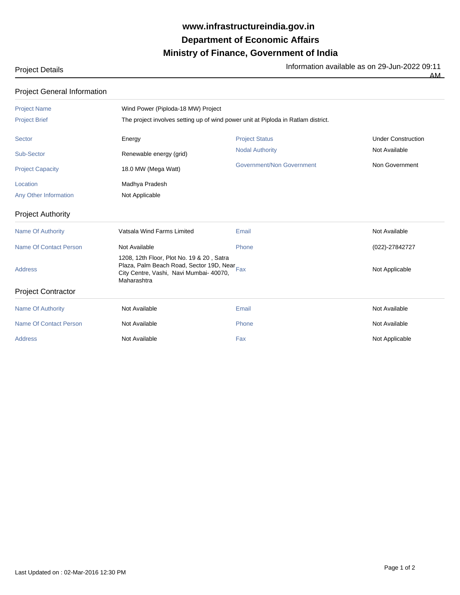## **Ministry of Finance, Government of India Department of Economic Affairs www.infrastructureindia.gov.in**

Project Details Information available as on 29-Jun-2022 09:11

|  | FIUJECI DEIAIIS |  |
|--|-----------------|--|
|  |                 |  |

AM

| <b>Project General Information</b> |                                                                                                                                                     |                           |                           |  |  |  |  |
|------------------------------------|-----------------------------------------------------------------------------------------------------------------------------------------------------|---------------------------|---------------------------|--|--|--|--|
| <b>Project Name</b>                | Wind Power (Piploda-18 MW) Project                                                                                                                  |                           |                           |  |  |  |  |
| <b>Project Brief</b>               | The project involves setting up of wind power unit at Piploda in Ratlam district.                                                                   |                           |                           |  |  |  |  |
| <b>Sector</b>                      | Energy                                                                                                                                              | <b>Project Status</b>     | <b>Under Construction</b> |  |  |  |  |
| Sub-Sector                         | Renewable energy (grid)                                                                                                                             | <b>Nodal Authority</b>    | Not Available             |  |  |  |  |
| <b>Project Capacity</b>            | 18.0 MW (Mega Watt)                                                                                                                                 | Government/Non Government | Non Government            |  |  |  |  |
| Location                           | Madhya Pradesh                                                                                                                                      |                           |                           |  |  |  |  |
| Any Other Information              | Not Applicable                                                                                                                                      |                           |                           |  |  |  |  |
| <b>Project Authority</b>           |                                                                                                                                                     |                           |                           |  |  |  |  |
| <b>Name Of Authority</b>           | Vatsala Wind Farms Limited                                                                                                                          | Email                     | Not Available             |  |  |  |  |
| Name Of Contact Person             | Not Available                                                                                                                                       | Phone                     | (022)-27842727            |  |  |  |  |
| <b>Address</b>                     | 1208, 12th Floor, Plot No. 19 & 20, Satra<br>Plaza, Palm Beach Road, Sector 19D, Near Fax<br>City Centre, Vashi, Navi Mumbai- 40070,<br>Maharashtra |                           | Not Applicable            |  |  |  |  |
| <b>Project Contractor</b>          |                                                                                                                                                     |                           |                           |  |  |  |  |
| <b>Name Of Authority</b>           | Not Available                                                                                                                                       | Email                     | Not Available             |  |  |  |  |
| <b>Name Of Contact Person</b>      | Not Available                                                                                                                                       | Phone                     | Not Available             |  |  |  |  |
| <b>Address</b>                     | Not Available                                                                                                                                       | Fax                       | Not Applicable            |  |  |  |  |